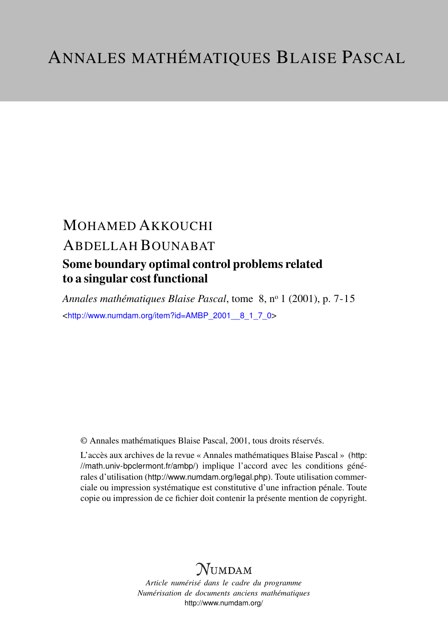# MOHAMED AKKOUCHI ABDELLAH BOUNABAT

### Some boundary optimal control problems related to a singular cost functional

*Annales mathématiques Blaise Pascal*, tome 8, n<sup>o</sup> 1 (2001), p. 7-15 <[http://www.numdam.org/item?id=AMBP\\_2001\\_\\_8\\_1\\_7\\_0](http://www.numdam.org/item?id=AMBP_2001__8_1_7_0)>

© Annales mathématiques Blaise Pascal, 2001, tous droits réservés.

L'accès aux archives de la revue « Annales mathématiques Blaise Pascal » ([http:](http://math.univ-bpclermont.fr/ambp/) [//math.univ-bpclermont.fr/ambp/](http://math.univ-bpclermont.fr/ambp/)) implique l'accord avec les conditions générales d'utilisation (<http://www.numdam.org/legal.php>). Toute utilisation commerciale ou impression systématique est constitutive d'une infraction pénale. Toute copie ou impression de ce fichier doit contenir la présente mention de copyright.

## **NUMDAM**

*Article numérisé dans le cadre du programme Numérisation de documents anciens mathématiques* <http://www.numdam.org/>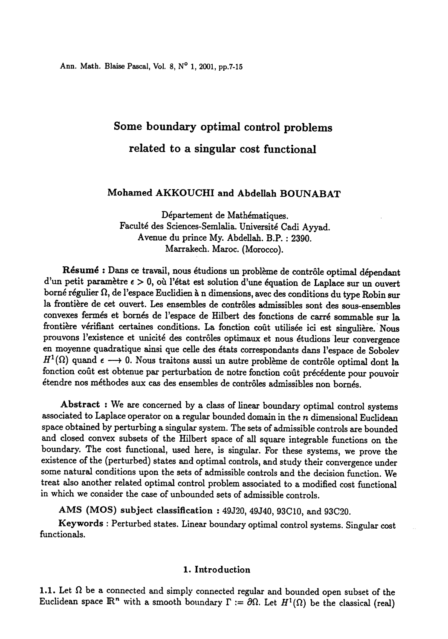Ann. Math. Blaise Pascal, Vol. 8, N° 1, 2001, pp.7-15

## Some boundary optimal control problems related to a singular cost functional

### Mohamed AKKOUCHI and Abdellah BOUNABAT

Département de Mathématiques. Faculte des Sciences-Semlalia. Universite Cadi Ayyad. Avenue du prince My. Abdellah. B.P. : 2390. Marrakech. Maroc. (Morocco).

Résumé : Dans ce travail, nous étudions un problème de contrôle optimal dépendant d'un petit paramètre  $\epsilon > 0$ , où l'état est solution d'une équation de Laplace sur un ouvert borné régulier  $\Omega$ , de l'espace Euclidien à n dimensions, avec des conditions du type Robin sur la frontière de cet ouvert. Les ensembles de controles admissibles sont des sous-ensembles convexes fermes et bornés de l'espace de Hilbert des fonctions de carre sommable sur la frontière vérifiant certaines conditions. La fonction coût utilisée ici est singulière. Nous prouvons l'existence et unicité des contrôles optimaux et nous étudions leur convergence en moyenne quadratique ainsi que celle des états correspondants dans l'espace de Sobolev  $H^1(\Omega)$  quand  $\epsilon \longrightarrow 0$ . Nous traitons aussi un autre problème de contrôle optimal dont la fonction coût est obtenue par perturbation de notre fonction coût précédente pour pouvoir étendre nos méthodes aux cas des ensembles de contrôles admissibles non bornés.

Abstract : We are concerned by a class of linear boundary optimal control systems associated to Laplace operator on a regular bounded domain in the  $n$  dimensional Euclidean space obtained by perturbing a singular system. The sets of admissible controls are bounded and closed convex subsets of the Hilbert space of all square integrable functions on the boundary. The cost functional, used here, is singular. For these systems, we prove the some natural conditions upon the sets of admissible controls and the decision function. We treat also another related optimal control problem associated to a modified cost functional in which we consider the case of unbounded sets of admissible controls.

AMS (MOS) subject classification : 49J20, 49J40, 93C10, and 93C20.

Keywords : Perturbed states. Linear boundary optimal control systems. Singular cost . functionals.

#### 1. Introduction

1.1. Let  $\Omega$  be a connected and simply connected regular and bounded open subset of the Euclidean space  $\mathbb{R}^n$  with a smooth boundary  $\Gamma := \partial \Omega$ . Let  $H^1(\Omega)$  be the classical (real)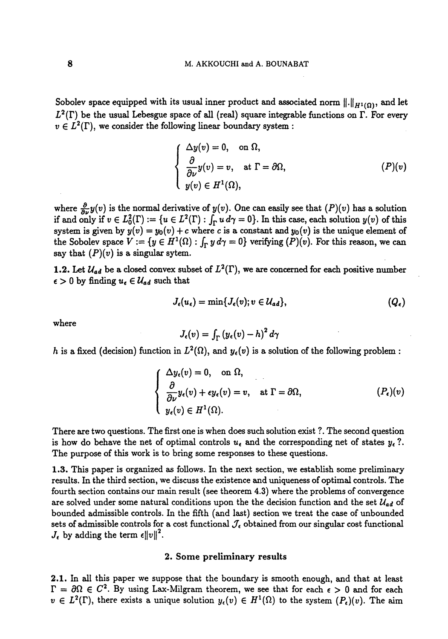Sobolev space equipped with its usual inner product and associated norm  $\|.\|_{H^1(\Omega)}$ , and let  $L^2(\Gamma)$  be the usual Lebesgue space of all (real) square integrable functions on  $\Gamma$ . For every  $v \in L^2(\Gamma)$ , we consider the following linear boundary system :

$$
\begin{cases}\n\Delta y(v) = 0, & \text{on } \Omega, \\
\frac{\partial}{\partial \nu} y(v) = v, & \text{at } \Gamma = \partial \Omega, \\
y(v) \in H^1(\Omega),\n\end{cases} \tag{P}(v)
$$

where  $\frac{\partial}{\partial \nu}y(v)$  is the normal derivative of  $y(v)$ . One can easily see that  $(P)(v)$  has a solution if and only if  $v \in L_0^2(\Gamma) := \{u \in L^2(\Gamma) : \int_{\Gamma} u \, d\gamma = 0\}$ . In this case, each solution  $y(v)$  of this system is given by  $y(v) = y_0(v) + c$  where c is a constant and  $y_0(v)$  is the unique element of the Sobolev space  $V := \{y \in H^1(\Omega) : \int_{\Gamma} y \, d\gamma = 0\}$  verifying  $(P)(v)$ . For this reason, we can say that  $(P)(v)$  is a singular sytem.

1.2. Let  $\mathcal{U}_{ad}$  be a closed convex subset of  $L^2(\Gamma)$ , we are concerned for each positive number  $\epsilon > 0$  by finding  $u_{\epsilon} \in \mathcal{U}_{ad}$  such that

$$
J_{\epsilon}(u_{\epsilon}) = \min\{J_{\epsilon}(v); v \in \mathcal{U}_{ad}\},
$$
  
\n
$$
J_{\epsilon}(v) = \int_{\Gamma} (y_{\epsilon}(v) - h)^{2} d\gamma
$$
  
\n
$$
J_{\epsilon}(v) = \int_{\Gamma} (y_{\epsilon}(v) - h)^{2} d\gamma
$$

where

$$
J_{\epsilon}(v) = \int_{\Gamma} (y_{\epsilon}(v) - h)^2 d\gamma
$$

h is a fixed (decision) function in  $L^2(\Omega)$ , and  $y_{\epsilon}(v)$  is a solution of the following problem :

$$
\begin{cases}\n\Delta y_{\epsilon}(v) = 0, & \text{on } \Omega, \\
\frac{\partial}{\partial \nu} y_{\epsilon}(v) + \epsilon y_{\epsilon}(v) = v, & \text{at } \Gamma = \partial \Omega, \\
y_{\epsilon}(v) \in H^{1}(\Omega).\n\end{cases} (P_{\epsilon})(v)
$$

There are two questions. The first one is when does such solution exist ?. The second question is how do behave the net of optimal controls  $u_i$  and the corresponding net of states  $y_i$ ?. The purpose of this work is to bring some responses to these questions.

1.3. This paper is organized as follows. In the next section, we establish some preliminary results. In the third section, we discuss the existence and uniqueness of optimal controls. The fourth section contains our main result (see theorem 4.3) where the problems of convergence are solved under some natural conditions upon the the decision function and the set  $\mathcal{U}_{ad}$  of bounded admissible controls. In the fifth (and last) section we treat the case of unbounded sets of admissible controls for a cost functional  $J_{\epsilon}$  obtained from our singular cost functional  $J_{\epsilon}$  by adding the term  $\epsilon ||v||^2$ .

#### 2. Some preliminary results

2.1. In all this paper we suppose that the boundary is smooth enough, and that at least  $\Gamma = \partial \Omega \in C^2$ . By using Lax-Milgram theorem, we see that for each  $\epsilon > 0$  and for each  $v \in L^2(\Gamma)$ , there exists a unique solution  $y_e(v) \in H^1(\Omega)$  to the system  $(P_e)(v)$ . The aim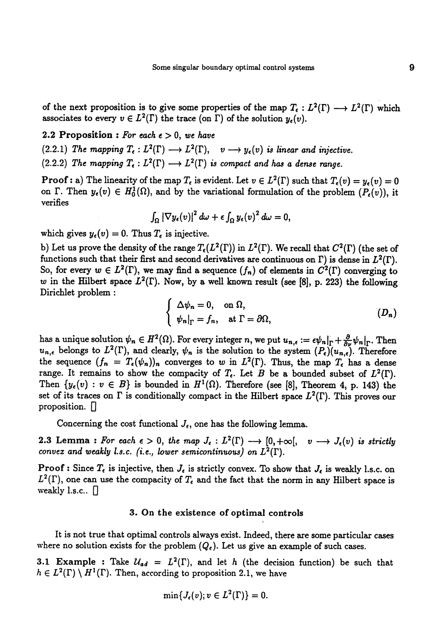of the next proposition is to give some properties of the map  $T_{\epsilon}: L^2(\Gamma) \longrightarrow L^2(\Gamma)$  which associates to every  $v \in L^2(\Gamma)$  the trace (on  $\Gamma$ ) of the solution  $y_{\epsilon}(v)$ .

2.2 Proposition : For each  $\epsilon > 0$ , we have

(2.2.1) The mapping  $T_{\epsilon}: L^2(\Gamma) \longrightarrow L^2(\Gamma)$ ,  $v \longrightarrow y_{\epsilon}(v)$  is linear and injective.

(2.2.2) The mapping  $T_{\epsilon}: L^2(\Gamma) \longrightarrow L^2(\Gamma)$  is compact and has a dense range.

**Proof :** a) The linearity of the map  $T_{\epsilon}$  is evident. Let  $v \in L^2(\Gamma)$  such that  $T_{\epsilon}(v) = y_{\epsilon}(v) = 0$ on  $\Gamma$ . Then  $y_{\epsilon}(v) \in H_0^1(\Omega)$ , and by the variational formulation of the problem  $(P_{\epsilon}(v))$ , it verifies

$$
\int_{\Omega} \left|\nabla y_{\epsilon}(v)\right|^2 d\omega + \epsilon \int_{\Omega} y_{\epsilon}(v)^2 d\omega = 0,
$$

which gives  $y_{\epsilon}(v) = 0$ . Thus  $T_{\epsilon}$  is injective.

b) Let us prove the density of the range  $T_{\epsilon}(L^2(\Gamma))$  in  $L^2(\Gamma)$ . We recall that  $C^2(\Gamma)$  (the set of functions such that their first and second derivatives are continuous on  $\Gamma$ ) is dense in  $L^2(\Gamma)$ . So, for every  $w \in L^2(\Gamma)$ , we may find a sequence  $(f_n)$  of elements in  $C^2(\Gamma)$  converging to w in the Hilbert space  $L^2(\Gamma)$ . Now, by a well known result (see [8], p. 223) the following Dirichlet problem :

$$
\begin{cases} \Delta \psi_n = 0, & \text{on } \Omega, \\ \psi_n|_{\Gamma} = f_n, & \text{at } \Gamma = \partial \Omega, \end{cases}
$$
 (D<sub>n</sub>)

has a unique solution  $\psi_n \in H^2(\Omega)$ . For every integer n, we put  $u_{n,\epsilon} := \epsilon \psi_n|_{\Gamma} + \frac{\partial}{\partial \nu} \psi_n|_{\Gamma}$ . Then  $u_{n,\epsilon}$  belongs to  $L^2(\Gamma)$ , and clearly,  $\psi_n$  is the solution to the system  $(P_{\epsilon})(u_{n,\epsilon})$ . Therefore the sequence  $(f_n = T_{\epsilon}(\psi_n))_n$  converges to w in  $L^2(\Gamma)$ . Thus, the map  $T_{\epsilon}$  has a dense range. It remains to show the compacity of  $T_{\epsilon}$ . Let B be a bounded subset of  $L^2(\Gamma)$ . Then  $\{y_{\epsilon}(v) : v \in B\}$  is bounded in  $H^1(\Omega)$ . Therefore (see [8], Theorem 4, p. 143) the set of its traces on  $\Gamma$  is conditionally compact in the Hilbert space  $L^2(\Gamma)$ . This proves our proposition.  $\Box$ 

Concerning the cost functional  $J_{\epsilon}$ , one has the following lemma.

2.3 Lemma : For each  $\epsilon > 0$ , the map  $J_{\epsilon}: L^2(\Gamma) \longrightarrow [0, +\infty[, \quad v \longrightarrow J_{\epsilon}(v)$  is strictly convex and weakly l.s.c. (i.e., lower semicontinuous) on  $L^2(\Gamma)$ .

**Proof :** Since  $T_{\epsilon}$  is injective, then  $J_{\epsilon}$  is strictly convex. To show that  $J_{\epsilon}$  is weakly l.s.c. on  $L^2(\Gamma)$ , one can use the compacity of  $T_{\epsilon}$  and the fact that the norm in any Hilbert space is weakly l.s.c..  $\Box$ 

#### 3. On the existence of optimal controls

It is not true that optimal controls always exist. Indeed, there are some particular cases where no solution exists for the problem  $(Q_{\epsilon})$ . Let us give an example of such cases.

3.1 Example : Take  $U_{ad} = L^2(\Gamma)$ , and let h (the decision function) be such that  $h \in L^2(\Gamma) \setminus H^1(\Gamma)$ . Then, according to proposition 2.1, we have

$$
\min\{J_{\epsilon}(v); v \in L^2(\Gamma)\}=0.
$$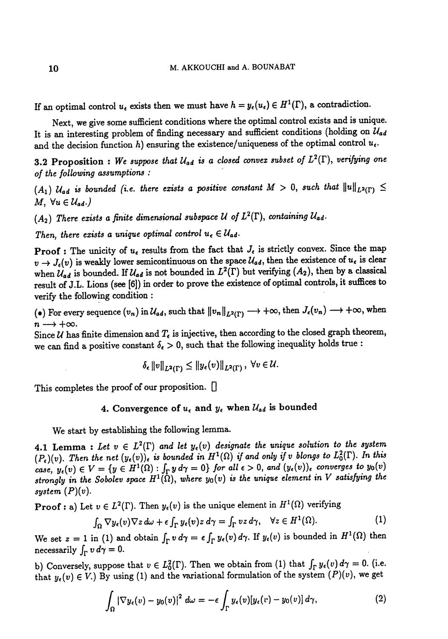If an optimal control  $u_{\epsilon}$  exists then we must have  $h = y_{\epsilon}(u_{\epsilon}) \in H^1(\Gamma)$ , a contradiction.

Next, we give some sufficient conditions where the optimal control exists and is unique. It is an interesting problem of finding necessary and sufficient conditions (holding on  $\mathcal{U}_{ad}$ and the decision function h) ensuring the existence/uniqueness of the optimal control  $u_{\epsilon}$ .

3.2 Proposition : We suppose that  $\mathcal{U}_{ad}$  is a closed convex subset of  $L^2(\Gamma)$ , verifying one of the following assumptions : '

 $(A_1)$   $U_{ad}$  is bounded (i.e. there exists a positive constant  $M > 0$ , such that  $||u||_{L^2(\Gamma)} \le$  $M, \ \forall u \in \mathcal{U}_{ad}.$ 

 $(A_2)$  There exists a finite dimensional subspace U of  $L^2(\Gamma)$ , containing  $\mathcal{U}_{ad}$ .

Then, there exists a unique optimal control  $u_{\epsilon} \in \mathcal{U}_{ad}$ .

**Proof**: The unicity of  $u_{\epsilon}$  results from the fact that  $J_{\epsilon}$  is strictly convex. Since the map  $v \to J_{\epsilon}(v)$  is weakly lower semicontinuous on the space  $\mathcal{U}_{ad}$ , then the existence of  $u_{\epsilon}$  is clear when  $\mathcal{U}_{ad}$  is bounded. If  $\mathcal{U}_{ad}$  is not bounded in  $L^2(\Gamma)$  but verifying  $(A_2)$ , then by a classical result of J.L. Lions (see [6]) in order to prove the existence of optimal controls, it suffices to verify the following condition : .

(e) For every sequence  $(v_n)$  in  $\mathcal{U}_{ad}$ , such that  $||v_n||_{L^2(\Gamma)} \longrightarrow +\infty$ , then  $J_{\epsilon}(v_n) \longrightarrow +\infty$ , when  $n \longrightarrow +\infty$ .

Since  $U$  has finite dimension and  $T_{\epsilon}$  is injective, then according to the closed graph theorem, we can find a positive constant  $\delta_{\epsilon} > 0$ , such that the following inequality holds true :

$$
\delta_{\epsilon} \|v\|_{L^2(\Gamma)} \leq \|y_{\epsilon}(v)\|_{L^2(\Gamma)}, \ \forall v \in \mathcal{U}.
$$

This completes the proof of our proposition.  $\Box$ 

#### 4. Convergence of  $u_{\epsilon}$  and  $y_{\epsilon}$  when  $\mathcal{U}_{ad}$  is bounded

We start by establishing the following lemma.

4.1 Lemma : Let  $v \in L^2(\Gamma)$  and let  $y_{\epsilon}(v)$  designate the unique solution to the system  $(P_{\epsilon})(v)$ . Then the net  $(y_{\epsilon}(v))_{\epsilon}$  is bounded in  $H^{1}(\Omega)$  if and only if v blongs to  $L^{2}_{0}(\Gamma)$ . In this case,  $y_{\epsilon}(v) \in V = \{y \in H^1(\Omega) : \int_{\Gamma} y d\gamma = 0\}$  for all  $\epsilon > 0$ , and  $(y_{\epsilon}(v))_{\epsilon}$  converges to  $y_0(v)$ strongly in the Sobolev space  $H^1(\Omega)$ , where  $y_0(v)$  is the unique element in V satisfying the system  $(P)(v)$ . proot of our proposition. U<br>
Convergence of  $u_{\epsilon}$  and  $y_{\epsilon}$  when  $\mathcal{U}_{ad}$  is bounded<br>
tablishing the following lemma.<br>  $\forall v \in L^2(\Gamma)$  and let  $y_{\epsilon}(v)$  designate the unique solution to the sy<br>
net  $(y_{\epsilon}(v))_{\epsilon}$  is bo

**Proof :** a) Let  $v \in L^2(\Gamma)$ . Then  $y_{\epsilon}(v)$  is the unique element in  $H^1(\Omega)$  verifying

$$
\int_{\Omega} \nabla y_{\epsilon}(v) \nabla z \, d\omega + \epsilon \int_{\Gamma} y_{\epsilon}(v) z \, d\gamma = \int_{\Gamma} vz \, d\gamma, \quad \forall z \in H^{1}(\Omega). \tag{1}
$$

We set  $z = 1$  in (1) and obtain  $\int_{\Gamma} v d\gamma = \epsilon \int_{\Gamma} y_{\epsilon}(v) d\gamma$ . If  $y_{\epsilon}(v)$  is bounded in  $H^1(\Omega)$  then necessarily  $\int_{\Gamma} v d\gamma = 0$ .

b) Conversely, suppose that  $v \in L_0^2(\Gamma)$ . Then we obtain from (1) that  $\int_{\Gamma} y_{\epsilon}(v) d\gamma = 0$ . (i.e. that  $y_{\epsilon}(v) \in V$ .) By using (1) and the variational formulation of the system  $(P)(v)$ , we get

$$
\int_{\Omega} \left| \nabla y_{\epsilon}(v) - y_{0}(v) \right|^{2} d\omega = -\epsilon \int_{\Gamma} y_{\epsilon}(v) [y_{\epsilon}(v) - y_{0}(v)] d\gamma, \qquad (2)
$$

10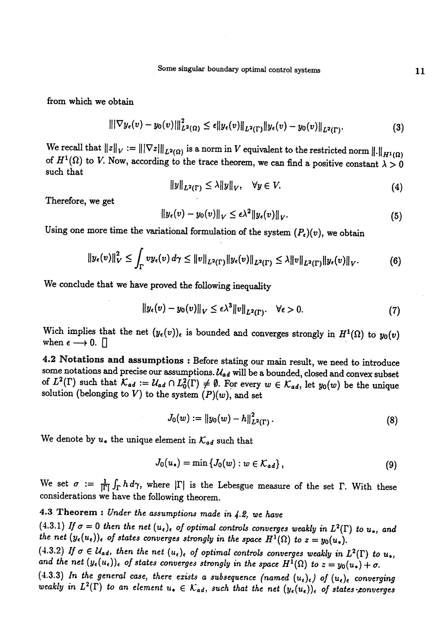Some singular boundary optimal control systems

from which we obtain

$$
\| |\nabla y_{\epsilon}(v) - y_0(v)| \|_{L^2(\Omega)}^2 \leq \epsilon \| y_{\epsilon}(v) \|_{L^2(\Gamma)} \| y_{\epsilon}(v) - y_0(v) \|_{L^2(\Gamma)}.
$$
 (3)

We recall that  $||z||_V := |||\nabla z|||_{L^2(\Omega)}$  is a norm in V equivalent to the restricted norm  $|| \cdot ||_{H^1(\Omega)}$  of  $H^1(\Omega)$  to V. Now, according to the trace theorem, we can find a positive constant  $\lambda > 0$ such that

$$
||y||_{L^{2}(\Gamma)} \leq \lambda ||y||_{V}, \quad \forall y \in V. \tag{4}
$$

Therefore, we get

$$
\|y_{\epsilon}(v)-y_0(v)\|_V\leq \epsilon\lambda^2\|y_{\epsilon}(v)\|_V. \tag{5}
$$

Using one more time the variational formulation of the system  $(P_{\epsilon})(v)$ , we obtain

$$
\|y_{\epsilon}(v)\|_{V}^{2} \leq \int_{\Gamma} v y_{\epsilon}(v) d\gamma \leq \|v\|_{L^{2}(\Gamma)} \|y_{\epsilon}(v)\|_{L^{2}(\Gamma)} \leq \lambda \|v\|_{L^{2}(\Gamma)} \|y_{\epsilon}(v)\|_{V}.
$$
 (6)

We conclude that we have proved the following inequality

$$
||y_{\epsilon}(v) - y_0(v)||_V \le \epsilon \lambda^3 ||v||_{L^2(\Gamma)}. \quad \forall \epsilon > 0. \tag{7}
$$

Wich implies that the net  $(y_{\epsilon}(v))_{\epsilon}$  is bounded and converges strongly in  $H^1(\Omega)$  to  $y_0(v)$  when  $\epsilon \longrightarrow 0$ .

4.2 Notations and assumptions : Before stating our main result, we need to introduce some notations and precise our assumptions.  $U_{ad}$  will be a bounded, closed and convex subset of  $L^2(\Gamma)$  such that  $\mathcal{K}_{ad} := \mathcal{U}_{ad} \cap L_0^2(\Gamma) \neq \emptyset$ . For every  $w \in \mathcal{K}_{ad}$ , let  $y_0(w)$  be the unique solution (belonging to V) to the system  $(P)(w)$ , and set

$$
J_0(w) := \|y_0(w) - h\|_{L^2(\Gamma)}^2.
$$
 (8)

We denote by  $u_*$  the unique element in  $\mathcal{K}_{ad}$  such that

$$
J_0(u_*) = \min \{ J_0(w) : w \in \mathcal{K}_{ad} \}, \tag{9}
$$

We set  $\sigma := \frac{1}{|\Gamma|} \int_{\Gamma} h d\gamma$ , where  $|\Gamma|$  is the Lebesgue measure of the set  $\Gamma$ . With these considerations we have the following theorem.

### 4.3 Theorem : Under the assumptions made in  $4.2$ , we have

(4.3.1) If  $\sigma = 0$  then the net  $(u_{\epsilon})_{\epsilon}$  of optimal controls converges weakly in  $L^2(\Gamma)$  to  $u_*$ , and the net  $(y_{\epsilon}(u_{\epsilon}))_{\epsilon}$  of states converges strongly in the space  $H^1(\Omega)$  to  $z = y_0(u_*)$ .<br>(4.3.2) If  $\sigma \in \mathcal{U}_{ad}$ , then the net  $(u_{\epsilon})_{\epsilon}$  of optimal controls converges weakly in  $L^2(\Gamma)$  to  $u_*$ ,

and the net  $(y_{\epsilon}(u_{\epsilon}))_{\epsilon}$  of states converges strongly in the space  $H^{1}(\Omega)$  to  $z = y_{0}(u_{*}) + \sigma$ .<br>(4.3.3) In the general case, there exists a subsequence (named  $(u_{\epsilon})_{\epsilon}$ ) of  $(u_{\epsilon})_{\epsilon}$  converging

weakly in  $L^2(\Gamma)$  to an element  $u_{\bullet} \in \mathcal{K}_{ad}$ , such that the net  $(y_{\epsilon}(u_{\epsilon}))_{\epsilon}$  of states-converges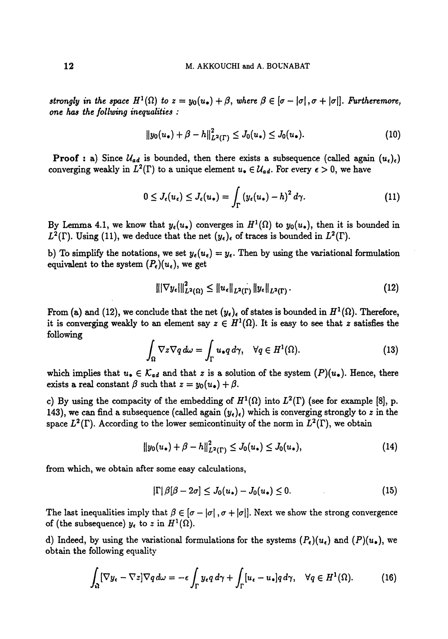strongly in the space  $H^1(\Omega)$  to  $z = y_0(u_*) + \beta$ , where  $\beta \in [\sigma - |\sigma|, \sigma + |\sigma|]$ . Furtheremore, one has the follwing inequalities :

$$
||y_0(u_\bullet)+\beta-h||^2_{L^2(\Gamma)}\leq J_0(u_\bullet)\leq J_0(u_\bullet). \hspace{1cm} (10)
$$

**Proof :** a) Since  $U_{ad}$  is bounded, then there exists a subsequence (called again  $(u_{\epsilon})_{\epsilon}$ ) converging weakly in  $L^2(\Gamma)$  to a unique element  $u_{\bullet} \in \mathcal{U}_{ad}$ . For every  $\epsilon > 0$ , we have

$$
0 \leq J_{\epsilon}(u_{\epsilon}) \leq J_{\epsilon}(u_{*}) = \int_{\Gamma} \left(y_{\epsilon}(u_{*}) - h\right)^{2} d\gamma.
$$
 (11)

By Lemma 4.1, we know that  $y_e(u_*)$  converges in  $H^1(\Omega)$  to  $y_0(u_*)$ , then it is bounded in  $L^2(\Gamma)$ . Using (11), we deduce that the net  $(y_\epsilon)_{\epsilon}$  of traces is bounded in  $L^2(\Gamma)$ .

b) To simplify the notations, we set  $y_{\epsilon}(u_{\epsilon}) = y_{\epsilon}$ . Then by using the variational formulation equivalent to the system  $(P_{\epsilon})(u_{\epsilon})$ , we get

$$
\| |\nabla y_{\epsilon}||_{L^{2}(\Omega)}^{2} \leq \| u_{\epsilon} \|_{L^{2}(\Gamma)} \| y_{\epsilon} \|_{L^{2}(\Gamma)}.
$$
 (12)

From (a) and (12), we conclude that the net  $(y_{\epsilon})_{\epsilon}$  of states is bounded in  $H^{1}(\Omega)$ . Therefore, it is converging weakly to an element say  $z \in H^1(\Omega)$ . It is easy to see that z satisfies the following

$$
\int_{\Omega} \nabla z \nabla q \, d\omega = \int_{\Gamma} u_{\bullet} q \, d\gamma, \quad \forall q \in H^1(\Omega). \tag{13}
$$

which implies that  $u_{\bullet} \in \mathcal{K}_{ad}$  and that z is a solution of the system  $(P)(u_{\bullet})$ . Hence, there exists a real constant  $\beta$  such that  $z = y_0(u_*) + \beta$ .

c) By using the compacity of the embedding of  $H^1(\Omega)$  into  $L^2(\Gamma)$  (see for example [8], p. 143), we can find a subsequence (called again  $(y_{\epsilon})_{\epsilon}$ ) which is converging strongly to z in the space  $L^2(\Gamma)$ . According to the lower semicontinuity of the norm in  $L^2(\Gamma)$ , we obtain

$$
||y_0(u_*) + \beta - h||_{L^2(\Gamma)}^2 \leq J_0(u_*) \leq J_0(u_*)\tag{14}
$$

from which, we obtain after some easy calculations,

$$
|\Gamma|\beta[\beta-2\sigma] \leq J_0(u_*) - J_0(u_*) \leq 0. \tag{15}
$$

The last inequalities imply that  $\beta \in [\sigma - |\sigma|]$ ,  $\sigma + |\sigma|$ . Next we show the strong convergence of (the subsequence)  $y_{\epsilon}$  to z in  $H^1(\Omega)$ .

d) Indeed, by using the variational formulations for the systems  $(P_{\epsilon})(u_{\epsilon})$  and  $(P)(u_{\epsilon})$ , we obtain the following equality

$$
\int_{\Omega} [\nabla y_{\epsilon} - \nabla z] \nabla q \, d\omega = -\epsilon \int_{\Gamma} y_{\epsilon} q \, d\gamma + \int_{\Gamma} [u_{\epsilon} - u_{\bullet}] q \, d\gamma, \quad \forall q \in H^1(\Omega). \tag{16}
$$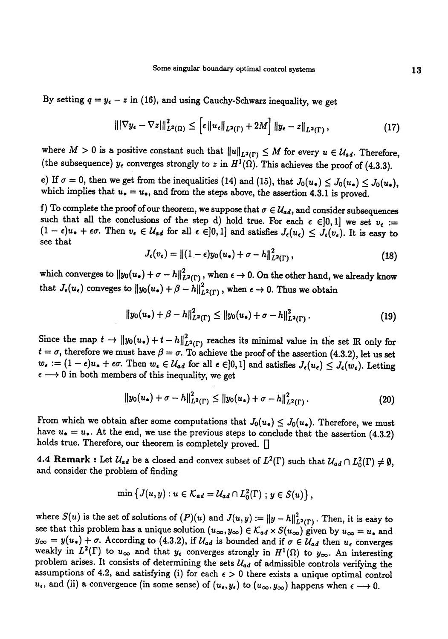By setting  $q = y_e - z$  in (16), and using Cauchy-Schwarz inequality, we get

$$
\left\| |\nabla y_{\epsilon} - \nabla z| \right\|_{L^2(\Omega)}^2 \leq \left[ \epsilon \left\| u_{\epsilon} \right\|_{L^2(\Gamma)} + 2M \right] \left\| y_{\epsilon} - z \right\|_{L^2(\Gamma)}, \tag{17}
$$

where  $M > 0$  is a positive constant such that  $||u||_{L^2(\Gamma)} \leq M$  for every  $u \in \mathcal{U}_{ad}$ . Therefore, (the subsequence)  $y_{\epsilon}$  converges strongly to z in  $H^1(\Omega)$ . This achieves the proof of (4.3.3).

e) If  $\sigma = 0$ , then we get from the inequalities (14) and (15), that  $J_0(u_*) \leq J_0(u_*) \leq J_0(u_*)$ , which implies that  $u_* = u_*,$  and from the steps above, the assertion 4.3.1 is proved.

f) To complete the proof of our theorem, we suppose that  $\sigma \in \mathcal{U}_{ad}$ , and consider subsequences such that all the conclusions of the step d) hold true. For each  $\epsilon \in ]0,1]$  we set  $v_{\epsilon} :=$  $(1 - \epsilon)u_{\bullet} + \epsilon\sigma$ . Then  $v_{\epsilon} \in \mathcal{U}_{ad}$  for all  $\epsilon \in ]0,1]$  and satisfies  $J_{\epsilon}(u_{\epsilon}) \leq J_{\epsilon}(v_{\epsilon})$ . It is easy to see that

$$
J_{\epsilon}(v_{\epsilon}) = ||(1-\epsilon)y_0(u_{\bullet}) + \sigma - h||^2_{L^2(\Gamma)},
$$
\n(18)

which converges to  $||y_0(u_*) + \sigma - h||_{L^2(\Gamma)}^2$ , when  $\epsilon \to 0$ . On the other hand, we already know that  $J_{\epsilon}(u_{\epsilon})$  conveges to  $||y_0(u_{\epsilon}) + \beta - h||^2_{L^2(\Gamma)}$ , when  $\epsilon \to 0$ . Thus we obtain

$$
||y_0(u_*) + \beta - h||_{L^2(\Gamma)}^2 \le ||y_0(u_*) + \sigma - h||_{L^2(\Gamma)}^2.
$$
 (19)

Since the map  $t \to ||y_0(u_*) + t - h||^2_{L^2(\Gamma)}$  reaches its minimal value in the set IR only for  $t = \sigma$ , therefore we must have  $\beta = \sigma$ . To achieve the proof of the assertion (4.3.2), let us set  $w_{\epsilon} := (1 - \epsilon)u_{*} + \epsilon\sigma$ . Then  $w_{\epsilon} \in \mathcal{U}_{ad}$  for all  $\epsilon \in ]0,1]$  and satisfies  $J_{\epsilon}(u_{\epsilon}) \leq J_{\epsilon}(w_{\epsilon})$ . Letting  $\epsilon \longrightarrow 0$  in both members of this inequality, we get

$$
||y_0(u_\bullet)+\sigma-h||^2_{L^2(\Gamma)}\leq ||y_0(u_\ast)+\sigma-h||^2_{L^2(\Gamma)}.
$$
 (20)

From which we obtain after some computations that  $J_0(u_*) \leq J_0(u_*)$ . Therefore, we must have  $u_{\bullet} = u_{\bullet}$ . At the end, we use the previous steps to conclude that the assertion (4.3.2) holds true. Therefore, our theorem is completely proved. []

4.4 Remark : Let  $\mathcal{U}_{ad}$  be a closed and convex subset of  $L^2(\Gamma)$  such that  $\mathcal{U}_{ad} \cap L_0^2(\Gamma) \neq \emptyset$ , and consider the problem of finding

$$
\min \left\{J(u,y): u \in \mathcal{K}_{ad} = \mathcal{U}_{ad} \cap L_0^2(\Gamma) \ ; \ y \in S(u) \right\},\
$$

where  $S(u)$  is the set of solutions of  $(P)(u)$  and  $J(u,y) := ||y - h||_{L^2(\Gamma)}^2$ . Then, it is easy to see that this problem has a unique solution  $(u_{\infty}, y_{\infty}) \in \mathcal{K}_{ad} \times S(u_{\infty})$  given by  $u_{\infty} = u_*$  and  $y_{\infty} = y(u_{*}) + \sigma$ . According to (4.3.2), if  $\mathcal{U}_{ad}$  is bounded and if  $\sigma \in \mathcal{U}_{ad}$  then  $u_{\epsilon}$  converges weakly in  $L^2(\Gamma)$  to  $u_{\infty}$  and that  $y_{\epsilon}$  converges strongly in  $H^1(\Omega)$  to  $y_{\infty}$ . An interesting pro assumptions of 4.2, and satisfying (i) for each  $\epsilon > 0$  there exists a unique optimal control  $u_{\epsilon}$ , and (ii) a convergence (in some sense) of  $(u_{\epsilon}, y_{\epsilon})$  to  $(u_{\infty}, y_{\infty})$  happens when  $\epsilon \longrightarrow 0$ .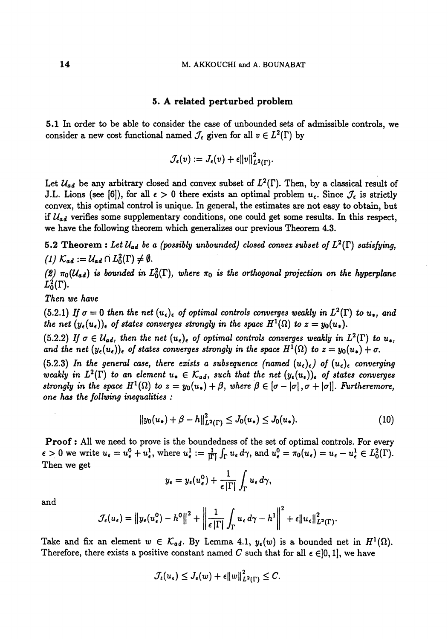#### 5. A related perturbed problem

5,I In order to be able to consider the case of unbounded sets of admissible controls, we consider a new cost functional named  $\mathcal{J}_{\epsilon}$  given for all  $v \in L^2(\Gamma)$  by

$$
\mathcal{J}_{\epsilon}(v) := J_{\epsilon}(v) + \epsilon ||v||^2_{L^2(\Gamma)}.
$$

Let  $\mathcal{U}_{ad}$  be any arbitrary closed and convex subset of  $L^2(\Gamma)$ . Then, by a classical result of J.L. Lions (see [6]), for all  $\epsilon > 0$  there exists an optimal problem  $u_{\epsilon}$ . Since  $\mathcal{J}_{\epsilon}$  is strictly convex, this optimal control is unique. In general, the estimates are not easy to obtain, but if  $U_{ad}$  verifies some supplementary conditions, one could get some results. In this respect, we have the following theorem which generalizes our previous Theorem 4.3.

5.2 Theorem: Let  $\mathcal{U}_{ad}$  be a (possibly unbounded) closed convex subset of  $L^2(\Gamma)$  satisfying,  $I(1)$   $K_{ad} := \mathcal{U}_{ad} \cap L_0^2(\Gamma) \neq \emptyset$ .

(2)  $\pi_0(\mathcal{U}_{ad})$  is bounded in  $L_0^2(\Gamma)$ , where  $\pi_0$  is the orthogonal projection on the hyperplane  $L_0^2(\Gamma)$ .

Then we have

(5.2.1) If  $\sigma = 0$  then the net  $(u_{\epsilon})_{\epsilon}$  of optimal controls converges weakly in  $L^2(\Gamma)$  to  $u_*$ , and the net  $(y_{\epsilon}(u_{\epsilon}))_{\epsilon}$  of states converges strongly in the space  $H^{1}(\Omega)$  to  $z = y_{0}(u_{*}).$ 

(5.2.2) If  $\sigma \in \mathcal{U}_{ad}$ , then the net  $(u_{\epsilon})_{\epsilon}$  of optimal controls converges weakly in  $L^2(\Gamma)$  to  $u_*$ , and the net  $(y_{\epsilon}(u_{\epsilon}))_{\epsilon}$  of states converges strongly in the space  $H^{1}(\Omega)$  to  $z = y_{0}(u_{*}) + \sigma$ .

(5.2.3) In the general case, there exists a subsequence (named  $(u_{\epsilon})_{\epsilon}$ ) of  $(u_{\epsilon})_{\epsilon}$  converging weakly in  $L^2(\Gamma)$  to an element  $u_{\bullet} \in \mathcal{K}_{ad}$ , such that the net  $(y_{\epsilon}(u_{\epsilon}))_{\epsilon}$  of states converges strongly in the space  $H^1(\Omega)$  to  $z = y_0(u_*) + \beta$ , where  $\beta \in [\sigma - |\sigma|, \sigma + |\sigma|]$ . Furtheremore, one has the follwing inequalities:

$$
||y_0(u_\bullet)+\beta-h||^2_{L^2(\Gamma)}\leq J_0(u_\bullet)\leq J_0(u_\bullet). \hspace{1cm} (10)
$$

Proof: All we need to prove is the boundedness of the set of optimal controls. For every  $\epsilon > 0$  we write  $u_{\epsilon} = u_{\epsilon}^0 + u_{\epsilon}^1$ , where  $u_{\epsilon}^1 := \frac{1}{|\Gamma|} \int_{\Gamma} u_{\epsilon} d\gamma$ , and  $u_{\epsilon}^0 = \pi_0(u_{\epsilon}) = u_{\epsilon} - u_{\epsilon}^1 \in L_0^2(\Gamma)$ . Then we get

$$
y_{\epsilon}=y_{\epsilon}(u_{\epsilon}^0)+\frac{1}{\epsilon|\Gamma|}\int_{\Gamma}u_{\epsilon}\,d\gamma,
$$

and

$$
\mathcal{J}_{\epsilon}(u_{\epsilon}) = ||y_{\epsilon}(u_{\epsilon}^{0}) - h^{0}||^{2} + \left\|\frac{1}{\epsilon|\Gamma|}\int_{\Gamma} u_{\epsilon} d\gamma - h^{1}\right\|^{2} + \epsilon||u_{\epsilon}||^{2}_{L^{2}(\Gamma)}.
$$

Take and fix an element  $w \in \mathcal{K}_{ad}$ . By Lemma 4.1,  $y_{\epsilon}(w)$  is a bounded net in  $H^1(\Omega)$ . Therefore, there exists a positive constant named C such that for all  $\epsilon \in ]0,1]$ , we have

$$
\mathcal{J}_{\epsilon}(u_{\epsilon}) \leq J_{\epsilon}(w) + \epsilon ||w||_{L^2(\Gamma)}^2 \leq C.
$$